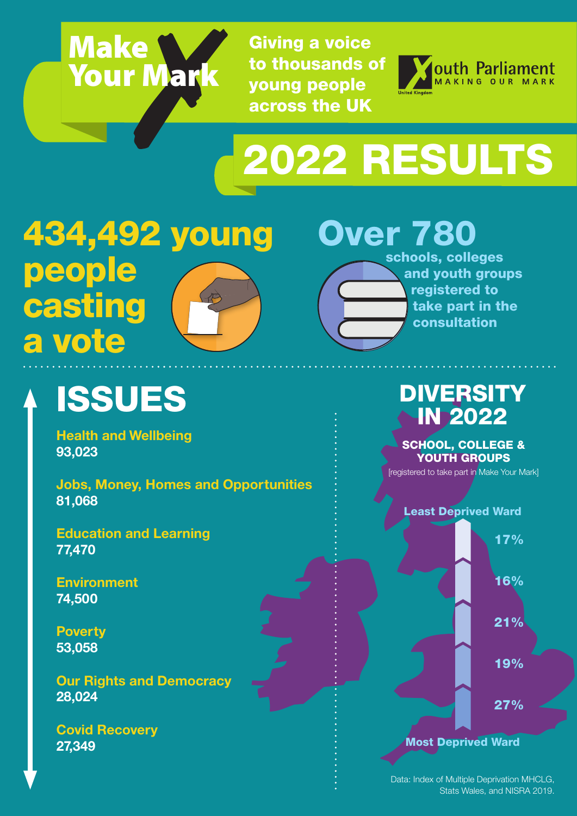

Giving a voice to thousands of young people across the UK



# 2022 RESULTS

434,492 young people casting a vote

### Over 780

schools, colleges and youth groups registered to take part in the consultation

## ISSUES

**Health and Wellbeing 93,023**

**Jobs, Money, Homes and Opportunities 81,068**

**Education and Learning 77,470**

**Environment 74,500**

**Poverty 53,058**

**Our Rights and Democracy 28,024** 

**Covid Recovery 27,349** 

#### DIVERSITY IN 2022

SCHOOL, COLLEGE & YOUTH GROUPS

[registered to take part in Make Your Mark]



Data: Index of Multiple Deprivation MHCLG, Stats Wales, and NISRA 2019.